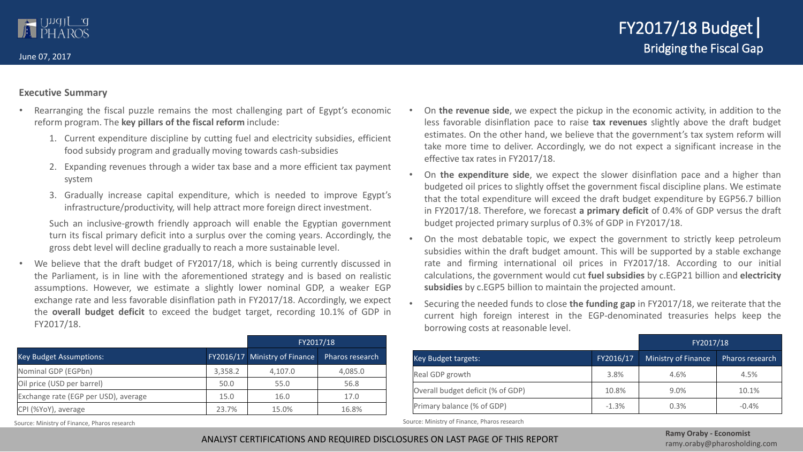June 07, 2017

### **Executive Summary**

- Rearranging the fiscal puzzle remains the most challenging part of Egypt's economic reform program. The **key pillars of the fiscal reform** include:
	- 1. Current expenditure discipline by cutting fuel and electricity subsidies, efficient food subsidy program and gradually moving towards cash-subsidies
	- 2. Expanding revenues through a wider tax base and a more efficient tax payment system
	- 3. Gradually increase capital expenditure, which is needed to improve Egypt's infrastructure/productivity, will help attract more foreign direct investment.

Such an inclusive-growth friendly approach will enable the Egyptian government turn its fiscal primary deficit into a surplus over the coming years. Accordingly, the gross debt level will decline gradually to reach a more sustainable level.

We believe that the draft budget of FY2017/18, which is being currently discussed in the Parliament, is in line with the aforementioned strategy and is based on realistic assumptions. However, we estimate a slightly lower nominal GDP, a weaker EGP exchange rate and less favorable disinflation path in FY2017/18. Accordingly, we expect the **overall budget deficit** to exceed the budget target, recording 10.1% of GDP in FY2017/18.

|                                      | FY2017/18 |                               |                 |  |
|--------------------------------------|-----------|-------------------------------|-----------------|--|
| <b>Key Budget Assumptions:</b>       |           | FY2016/17 Ministry of Finance | Pharos research |  |
| Nominal GDP (EGPbn)                  | 3,358.2   | 4,107.0                       | 4,085.0         |  |
| Oil price (USD per barrel)           | 50.0      | 55.0                          | 56.8            |  |
| Exchange rate (EGP per USD), average | 15.0      | 16.0                          | 17.0            |  |
| CPI (%YoY), average                  | 23.7%     | 15.0%                         | 16.8%           |  |

- On **the revenue side**, we expect the pickup in the economic activity, in addition to the less favorable disinflation pace to raise **tax revenues** slightly above the draft budget estimates. On the other hand, we believe that the government's tax system reform will take more time to deliver. Accordingly, we do not expect a significant increase in the effective tax rates in FY2017/18.
- On **the expenditure side**, we expect the slower disinflation pace and a higher than budgeted oil prices to slightly offset the government fiscal discipline plans. We estimate that the total expenditure will exceed the draft budget expenditure by EGP56.7 billion in FY2017/18. Therefore, we forecast **a primary deficit** of 0.4% of GDP versus the draft budget projected primary surplus of 0.3% of GDP in FY2017/18.
- On the most debatable topic, we expect the government to strictly keep petroleum subsidies within the draft budget amount. This will be supported by a stable exchange rate and firming international oil prices in FY2017/18. According to our initial calculations, the government would cut **fuel subsidies** by c.EGP21 billion and **electricity subsidies** by c.EGP5 billion to maintain the projected amount.
- Securing the needed funds to close **the funding gap** in FY2017/18, we reiterate that the current high foreign interest in the EGP-denominated treasuries helps keep the borrowing costs at reasonable level.

|                                   | FY2017/18 |                     |                 |  |  |
|-----------------------------------|-----------|---------------------|-----------------|--|--|
| Key Budget targets:               | FY2016/17 | Ministry of Finance | Pharos research |  |  |
| Real GDP growth                   | 3.8%      | 4.6%                | 4.5%            |  |  |
| Overall budget deficit (% of GDP) | 10.8%     | $9.0\%$             | 10.1%           |  |  |
| Primary balance (% of GDP)        | $-1.3%$   | 0.3%                | $-0.4%$         |  |  |

Source: Ministry of Finance, Pharos research Source: Ministry of Finance, Pharos research Source: Ministry of Finance, Pharos research

ANALYST CERTIFICATIONS AND REQUIRED DISCLOSURES ON LAST PAGE OF THIS REPORT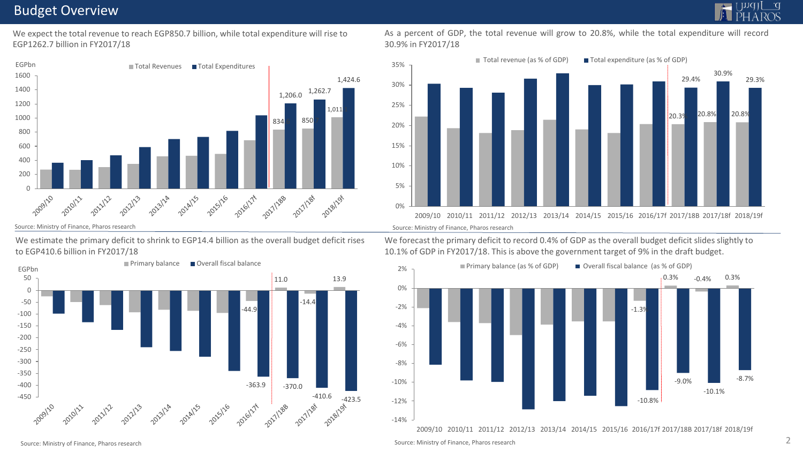### Budget Overview

We expect the total revenue to reach EGP850.7 billion, while total expenditure will rise to EGP1262.7 billion in FY2017/18



We estimate the primary deficit to shrink to EGP14.4 billion as the overall budget deficit rises to EGP410.6 billion in FY2017/18

![](_page_1_Figure_6.jpeg)

As a percent of GDP, the total revenue will grow to 20.8%, while the total expenditure will record 30.9% in FY2017/18

![](_page_1_Figure_8.jpeg)

We forecast the primary deficit to record 0.4% of GDP as the overall budget deficit slides slightly to 10.1% of GDP in FY2017/18. This is above the government target of 9% in the draft budget.

![](_page_1_Figure_11.jpeg)

2009/10 2010/11 2011/12 2012/13 2013/14 2014/15 2015/16 2016/17f 2017/18B 2017/18f 2018/19f

Source: Ministry of Finance, Pharos research 2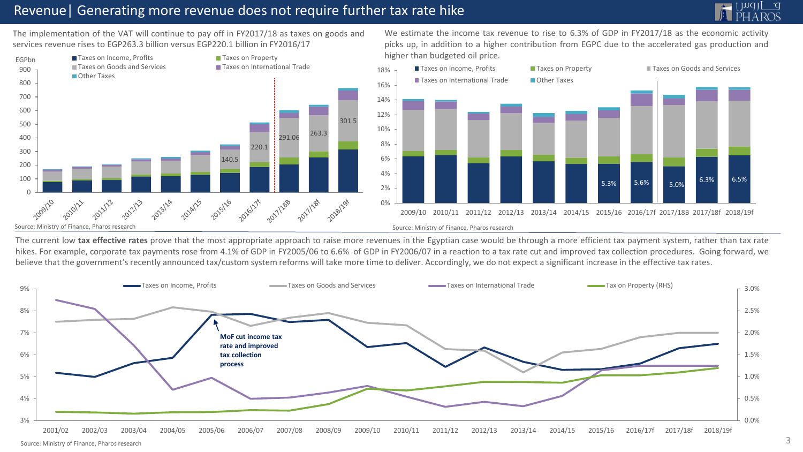### Revenue| Generating more revenue does not require further tax rate hike

![](_page_2_Picture_1.jpeg)

The implementation of the VAT will continue to pay off in FY2017/18 as taxes on goods and services revenue rises to EGP263.3 billion versus EGP220.1 billion in FY2016/17

![](_page_2_Figure_3.jpeg)

We estimate the income tax revenue to rise to 6.3% of GDP in FY2017/18 as the economic activity picks up, in addition to a higher contribution from EGPC due to the accelerated gas production and higher than budgeted oil price.

![](_page_2_Figure_5.jpeg)

The current low tax effective rates prove that the most appropriate approach to raise more revenues in the Egyptian case would be through a more efficient tax payment system, rather than tax rate hikes. For example, corporate tax payments rose from 4.1% of GDP in FY2005/06 to 6.6% of GDP in FY2006/07 in a reaction to a tax rate cut and improved tax collection procedures. Going forward, we believe that the government's recently announced tax/custom system reforms will take more time to deliver. Accordingly, we do not expect a significant increase in the effective tax rates.

![](_page_2_Figure_8.jpeg)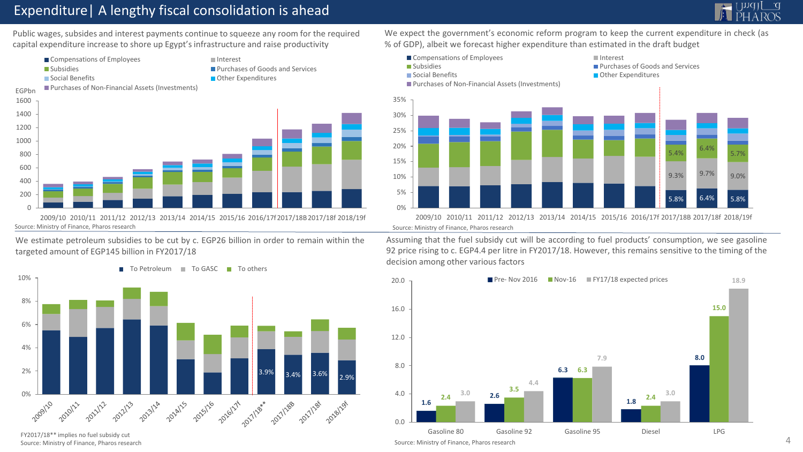## Expenditure| A lengthy fiscal consolidation is ahead

![](_page_3_Picture_1.jpeg)

Public wages, subsides and interest payments continue to squeeze any room for the required capital expenditure increase to shore up Egypt's infrastructure and raise productivity

![](_page_3_Figure_3.jpeg)

We estimate petroleum subsidies to be cut by c. EGP26 billion in order to remain within the targeted amount of EGP145 billion in FY2017/18

![](_page_3_Figure_5.jpeg)

FY2017/18\*\* implies no fuel subsidy cut Source: Ministry of Finance, Pharos research

We expect the government's economic reform program to keep the current expenditure in check (as % of GDP), albeit we forecast higher expenditure than estimated in the draft budget

![](_page_3_Figure_8.jpeg)

2009/10 2010/11 2011/12 2012/13 2013/14 2014/15 2015/16 2016/17f 2017/18B 2017/18f 2018/19f

Assuming that the fuel subsidy cut will be according to fuel products' consumption, we see gasoline 92 price rising to c. EGP4.4 per litre in FY2017/18. However, this remains sensitive to the timing of the decision among other various factors

![](_page_3_Figure_12.jpeg)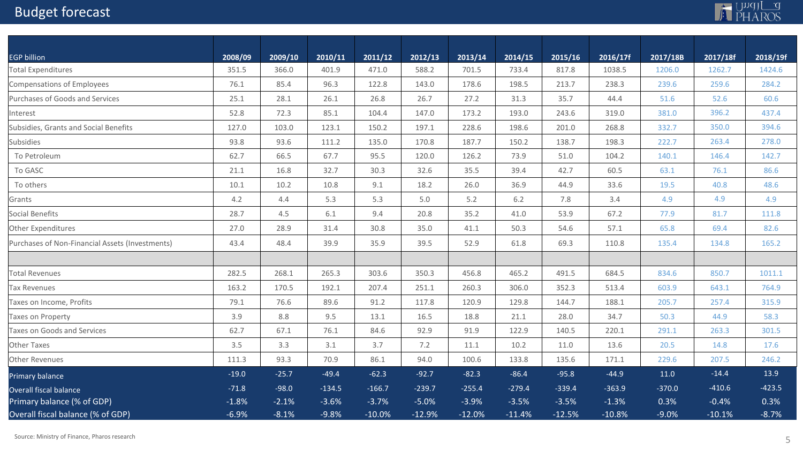# Budget forecast

![](_page_4_Picture_1.jpeg)

| <b>EGP billion</b>                              | 2008/09 | 2009/10 | 2010/11  | 2011/12  | 2012/13  | 2013/14  | 2014/15  | 2015/16  | 2016/17f | 2017/18B | 2017/18f | 2018/19f |
|-------------------------------------------------|---------|---------|----------|----------|----------|----------|----------|----------|----------|----------|----------|----------|
| <b>Total Expenditures</b>                       | 351.5   | 366.0   | 401.9    | 471.0    | 588.2    | 701.5    | 733.4    | 817.8    | 1038.5   | 1206.0   | 1262.7   | 1424.6   |
| Compensations of Employees                      | 76.1    | 85.4    | 96.3     | 122.8    | 143.0    | 178.6    | 198.5    | 213.7    | 238.3    | 239.6    | 259.6    | 284.2    |
| Purchases of Goods and Services                 | 25.1    | 28.1    | 26.1     | 26.8     | 26.7     | 27.2     | 31.3     | 35.7     | 44.4     | 51.6     | 52.6     | 60.6     |
| Interest                                        | 52.8    | 72.3    | 85.1     | 104.4    | 147.0    | 173.2    | 193.0    | 243.6    | 319.0    | 381.0    | 396.2    | 437.4    |
| Subsidies, Grants and Social Benefits           | 127.0   | 103.0   | 123.1    | 150.2    | 197.1    | 228.6    | 198.6    | 201.0    | 268.8    | 332.7    | 350.0    | 394.6    |
| <b>Subsidies</b>                                | 93.8    | 93.6    | 111.2    | 135.0    | 170.8    | 187.7    | 150.2    | 138.7    | 198.3    | 222.7    | 263.4    | 278.0    |
| To Petroleum                                    | 62.7    | 66.5    | 67.7     | 95.5     | 120.0    | 126.2    | 73.9     | 51.0     | 104.2    | 140.1    | 146.4    | 142.7    |
| To GASC                                         | 21.1    | 16.8    | 32.7     | 30.3     | 32.6     | 35.5     | 39.4     | 42.7     | 60.5     | 63.1     | 76.1     | 86.6     |
| To others                                       | 10.1    | 10.2    | 10.8     | 9.1      | 18.2     | 26.0     | 36.9     | 44.9     | 33.6     | 19.5     | 40.8     | 48.6     |
| Grants                                          | 4.2     | 4.4     | 5.3      | 5.3      | 5.0      | 5.2      | 6.2      | 7.8      | 3.4      | 4.9      | 4.9      | 4.9      |
| Social Benefits                                 | 28.7    | 4.5     | 6.1      | 9.4      | 20.8     | 35.2     | 41.0     | 53.9     | 67.2     | 77.9     | 81.7     | 111.8    |
| Other Expenditures                              | 27.0    | 28.9    | 31.4     | 30.8     | 35.0     | 41.1     | 50.3     | 54.6     | 57.1     | 65.8     | 69.4     | 82.6     |
| Purchases of Non-Financial Assets (Investments) | 43.4    | 48.4    | 39.9     | 35.9     | 39.5     | 52.9     | 61.8     | 69.3     | 110.8    | 135.4    | 134.8    | 165.2    |
|                                                 |         |         |          |          |          |          |          |          |          |          |          |          |
| <b>Total Revenues</b>                           | 282.5   | 268.1   | 265.3    | 303.6    | 350.3    | 456.8    | 465.2    | 491.5    | 684.5    | 834.6    | 850.7    | 1011.1   |
| Tax Revenues                                    | 163.2   | 170.5   | 192.1    | 207.4    | 251.1    | 260.3    | 306.0    | 352.3    | 513.4    | 603.9    | 643.1    | 764.9    |
| Taxes on Income, Profits                        | 79.1    | 76.6    | 89.6     | 91.2     | 117.8    | 120.9    | 129.8    | 144.7    | 188.1    | 205.7    | 257.4    | 315.9    |
| Taxes on Property                               | 3.9     | 8.8     | 9.5      | 13.1     | 16.5     | 18.8     | 21.1     | 28.0     | 34.7     | 50.3     | 44.9     | 58.3     |
| Taxes on Goods and Services                     | 62.7    | 67.1    | 76.1     | 84.6     | 92.9     | 91.9     | 122.9    | 140.5    | 220.1    | 291.1    | 263.3    | 301.5    |
| Other Taxes                                     | 3.5     | 3.3     | 3.1      | 3.7      | 7.2      | 11.1     | 10.2     | 11.0     | 13.6     | 20.5     | 14.8     | 17.6     |
| Other Revenues                                  | 111.3   | 93.3    | 70.9     | 86.1     | 94.0     | 100.6    | 133.8    | 135.6    | 171.1    | 229.6    | 207.5    | 246.2    |
| Primary balance                                 | $-19.0$ | $-25.7$ | $-49.4$  | $-62.3$  | $-92.7$  | $-82.3$  | $-86.4$  | $-95.8$  | $-44.9$  | 11.0     | $-14.4$  | 13.9     |
| Overall fiscal balance                          | $-71.8$ | $-98.0$ | $-134.5$ | $-166.7$ | $-239.7$ | $-255.4$ | $-279.4$ | $-339.4$ | $-363.9$ | $-370.0$ | $-410.6$ | $-423.5$ |
| Primary balance (% of GDP)                      | $-1.8%$ | $-2.1%$ | $-3.6%$  | $-3.7%$  | $-5.0%$  | $-3.9%$  | $-3.5%$  | $-3.5%$  | $-1.3%$  | 0.3%     | $-0.4%$  | 0.3%     |
| Overall fiscal balance (% of GDP)               | $-6.9%$ | $-8.1%$ | $-9.8%$  | $-10.0%$ | $-12.9%$ | $-12.0%$ | $-11.4%$ | $-12.5%$ | $-10.8%$ | $-9.0%$  | $-10.1%$ | $-8.7%$  |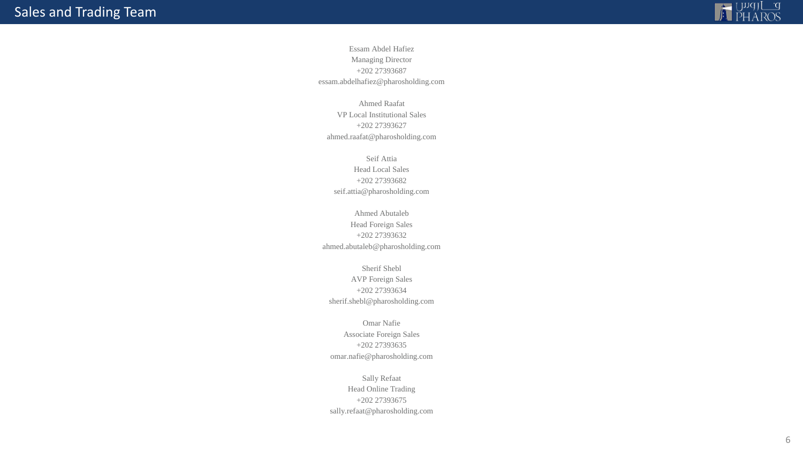![](_page_5_Picture_1.jpeg)

Essam Abdel Hafiez Managing Director +202 27393687 essam.abdelhafiez@pharosholding.com

Ahmed Raafat VP Local Institutional Sales +202 27393627 ahmed.raafat@pharosholding.com

Seif Attia Head Local Sales +202 27393682 seif.attia@pharosholding.com

Ahmed Abutaleb Head Foreign Sales +202 27393632 ahmed.abutaleb@pharosholding.com

Sherif Shebl AVP Foreign Sales +202 27393634 sherif.shebl@pharosholding.com

Omar Nafie Associate Foreign Sales +202 27393635 omar.nafie@pharosholding.com

Sally Refaat Head Online Trading +202 27393675 sally.refaat@pharosholding.com